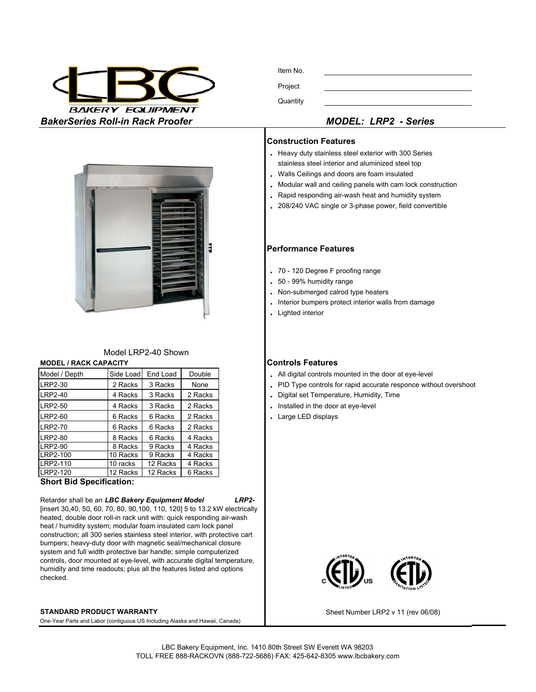

Item No. Project **Quantity** 



- **.** Heavy duty stainless steel exterior with 300 Series stainless steel interior and aluminized steel top
- **.** Walls Ceilings and doors are foam insulated
- **.** Modular wall and ceiling panels with cam lock construction
- **.** Rapid responding air-wash heat and humidity system
- **.** 208/240 VAC single or 3-phase power, field convertible

### **Performance Features**

- **.** 70 120 Degree F proofing range
- **.** 50 99% humidity range
- **.** Non-submerged calrod type heaters
- **.** Interior bumpers protect interior walls from damage
- **.** Lighted interior

- . All digital controls mounted in the door at eye-level
- . PID Type controls for rapid accurate responce without overshoot
- . Digital set Temperature, Humidity, Time
- . Installed in the door at eye-level
- 6 Racks 6 Racks 2 Racks **.** Large LED displays



Sheet Number LRP2 v 11 (rev 06/08)



# Model LRP2-40 Shown

# **MODEL / RACK CAPACITY CONTROLS Features**

| Model / Depth  | Side Load | End Load | Double  |  |
|----------------|-----------|----------|---------|--|
| LRP2-30        | 2 Racks   | 3 Racks  | None    |  |
| LRP2-40        | 4 Racks   | 3 Racks  | 2 Racks |  |
| LRP2-50        | 4 Racks   | 3 Racks  | 2 Racks |  |
| <b>LRP2-60</b> | 6 Racks   | 6 Racks  | 2 Racks |  |
| <b>LRP2-70</b> | 6 Racks   | 6 Racks  | 2 Racks |  |
| <b>LRP2-80</b> | 8 Racks   | 6 Racks  | 4 Racks |  |
| <b>LRP2-90</b> | 8 Racks   | 9 Racks  | 4 Racks |  |
| LRP2-100       | 10 Racks  | 9 Racks  | 4 Racks |  |
| LRP2-110       | 10 racks  | 12 Racks | 4 Racks |  |
| LRP2-120       | 12 Racks  | 12 Racks | 6 Racks |  |

## **Short Bid Specification:**

### Retarder shall be an *LBC Bakery Equipment Model LRP2-*

[insert 30,40, 50, 60, 70, 80, 90,100, 110, 120] 5 to 13.2 kW electrically heated, double door roll-in rack unit with: quick responding air-wash heat / humidity system; modular foam insulated cam lock panel construction; all 300 series stainless steel interior, with protective cart bumpers; heavy-duty door with magnetic seal/mechanical closure system and full width protective bar handle; simple computerized controls, door mounted at eye-level, with accurate digital temperature, humidity and time readouts; plus all the features listed and options checked.

### **STANDARD PRODUCT WARRANTY**

One-Year Parts and Labor (contiguous US Including Alaska and Hawaii, Canada)